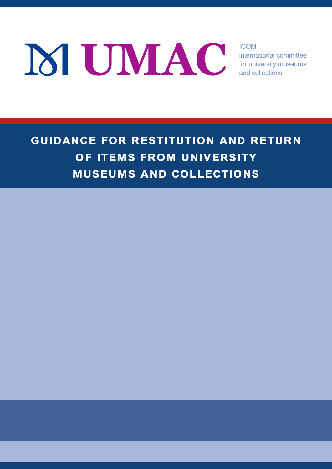**EXAC Internal** 

international committee for university museums and collections

**guidance for restitution and return of items from university museums and collections**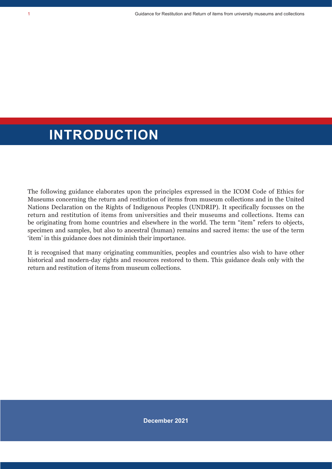### **INTRODUCTION**

The following guidance elaborates upon the principles expressed in the ICOM Code of Ethics for Museums concerning the return and restitution of items from museum collections and in the United Nations Declaration on the Rights of Indigenous Peoples (UNDRIP). It specifically focusses on the return and restitution of items from universities and their museums and collections. Items can be originating from home countries and elsewhere in the world. The term "item" refers to objects, specimen and samples, but also to ancestral (human) remains and sacred items: the use of the term 'item' in this guidance does not diminish their importance.

It is recognised that many originating communities, peoples and countries also wish to have other historical and modern-day rights and resources restored to them. This guidance deals only with the return and restitution of items from museum collections.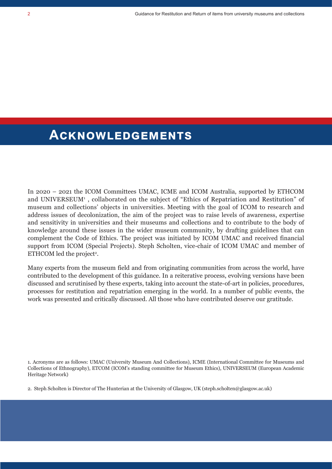### **ACKNOWLEDGEMENTS**

In 2020 – 2021 the ICOM Committees UMAC, ICME and ICOM Australia, supported by ETHCOM and UNIVERSEUM<sup>1</sup> , collaborated on the subject of "Ethics of Repatriation and Restitution" of museum and collections' objects in universities. Meeting with the goal of ICOM to research and address issues of decolonization, the aim of the project was to raise levels of awareness, expertise and sensitivity in universities and their museums and collections and to contribute to the body of knowledge around these issues in the wider museum community, by drafting guidelines that can complement the Code of Ethics. The project was initiated by ICOM UMAC and received financial support from ICOM (Special Projects). Steph Scholten, vice-chair of ICOM UMAC and member of ETHCOM led the project<sup>2</sup>.

Many experts from the museum field and from originating communities from across the world, have contributed to the development of this guidance. In a reiterative process, evolving versions have been discussed and scrutinised by these experts, taking into account the state-of-art in policies, procedures, processes for restitution and repatriation emerging in the world. In a number of public events, the work was presented and critically discussed. All those who have contributed deserve our gratitude.

1. Acronyms are as follows: UMAC (University Museum And Collections), ICME (International Committee for Museums and Collections of Ethnography), ETCOM (ICOM's standing committee for Museum Ethics), UNIVERSEUM (European Academic Heritage Network)

2. Steph Scholten is Director of The Hunterian at the University of Glasgow, UK (steph.scholten@glasgow.ac.uk)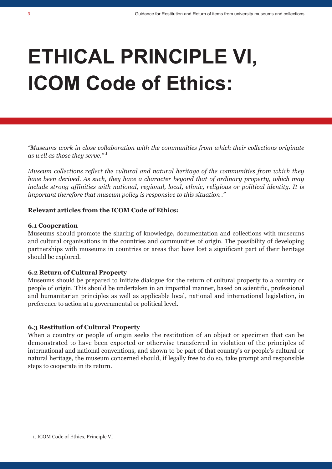# **ETHICAL PRINCIPLE VI, ICOM Code of Ethics:**

*"Museums work in close collaboration with the communities from which their collections originate as well as those they serve." 1*

*Museum collections reflect the cultural and natural heritage of the communities from which they have been derived. As such, they have a character beyond that of ordinary property, which may include strong affinities with national, regional, local, ethnic, religious or political identity. It is important therefore that museum policy is responsive to this situation ."*

#### **Relevant articles from the ICOM Code of Ethics:**

#### **6.1 Cooperation**

Museums should promote the sharing of knowledge, documentation and collections with museums and cultural organisations in the countries and communities of origin. The possibility of developing partnerships with museums in countries or areas that have lost a significant part of their heritage should be explored.

#### **6.2 Return of Cultural Property**

Museums should be prepared to initiate dialogue for the return of cultural property to a country or people of origin. This should be undertaken in an impartial manner, based on scientific, professional and humanitarian principles as well as applicable local, national and international legislation, in preference to action at a governmental or political level.

#### **6.3 Restitution of Cultural Property**

When a country or people of origin seeks the restitution of an object or specimen that can be demonstrated to have been exported or otherwise transferred in violation of the principles of international and national conventions, and shown to be part of that country's or people's cultural or natural heritage, the museum concerned should, if legally free to do so, take prompt and responsible steps to cooperate in its return.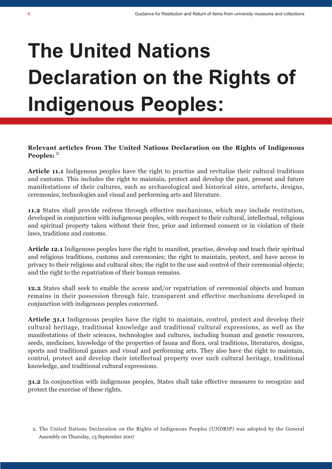# **The United Nations Declaration on the Rights of Indigenous Peoples:**

#### **Relevant articles from The United Nations Declaration on the Rights of Indigenous Peoples:** <sup>2</sup>

**Article 11.1** Indigenous peoples have the right to practise and revitalize their cultural traditions and customs. This includes the right to maintain, protect and develop the past, present and future manifestations of their cultures, such as archaeological and historical sites, artefacts, designs, ceremonies, technologies and visual and performing arts and literature.

**11.2** States shall provide redress through effective mechanisms, which may include restitution, developed in conjunction with indigenous peoples, with respect to their cultural, intellectual, religious and spiritual property taken without their free, prior and informed consent or in violation of their laws, traditions and customs.

**Article 12.1** Indigenous peoples have the right to manifest, practise, develop and teach their spiritual and religious traditions, customs and ceremonies; the right to maintain, protect, and have access in privacy to their religious and cultural sites; the right to the use and control of their ceremonial objects; and the right to the repatriation of their human remains.

**12.2** States shall seek to enable the access and/or repatriation of ceremonial objects and human remains in their possession through fair, transparent and effective mechanisms developed in conjunction with indigenous peoples concerned.

**Article 31.1** Indigenous peoples have the right to maintain, control, protect and develop their cultural heritage, traditional knowledge and traditional cultural expressions, as well as the manifestations of their sciences, technologies and cultures, including human and genetic resources, seeds, medicines, knowledge of the properties of fauna and flora, oral traditions, literatures, designs, sports and traditional games and visual and performing arts. They also have the right to maintain, control, protect and develop their intellectual property over such cultural heritage, traditional knowledge, and traditional cultural expressions.

**31.2** In conjunction with indigenous peoples, States shall take effective measures to recognize and protect the exercise of these rights.

<sup>2.</sup> The United Nations Declaration on the Rights of Indigenous Peoples (UNDRIP) was adopted by the General Assembly on Thursday, 13 September 2007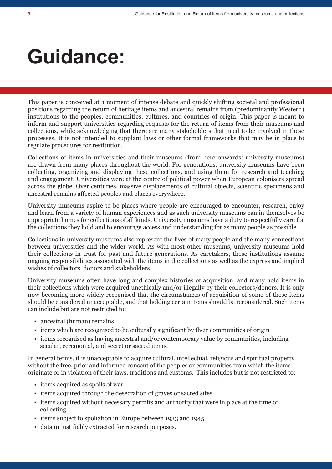## **Guidance:**

This paper is conceived at a moment of intense debate and quickly shifting societal and professional positions regarding the return of heritage items and ancestral remains from (predominantly Western) institutions to the peoples, communities, cultures, and countries of origin. This paper is meant to inform and support universities regarding requests for the return of items from their museums and collections, while acknowledging that there are many stakeholders that need to be involved in these processes. It is not intended to supplant laws or other formal frameworks that may be in place to regulate procedures for restitution.

Collections of items in universities and their museums (from here onwards: university museums) are drawn from many places throughout the world. For generations, university museums have been collecting, organizing and displaying these collections, and using them for research and teaching and engagement. Universities were at the centre of political power when European colonisers spread across the globe. Over centuries, massive displacements of cultural objects, scientific specimens and ancestral remains affected peoples and places everywhere.

University museums aspire to be places where people are encouraged to encounter, research, enjoy and learn from a variety of human experiences and as such university museums can in themselves be appropriate homes for collections of all kinds. University museums have a duty to respectfully care for the collections they hold and to encourage access and understanding for as many people as possible.

Collections in university museums also represent the lives of many people and the many connections between universities and the wider world. As with most other museums, university museums hold their collections in trust for past and future generations. As caretakers, these institutions assume ongoing responsibilities associated with the items in the collections as well as the express and implied wishes of collectors, donors and stakeholders.

University museums often have long and complex histories of acquisition, and many hold items in their collections which were acquired unethically and/or illegally by their collectors/donors. It is only now becoming more widely recognised that the circumstances of acquisition of some of these items should be considered unacceptable, and that holding certain items should be reconsidered. Such items can include but are not restricted to:

- ancestral (human) remains
- items which are recognised to be culturally significant by their communities of origin
- items recognised as having ancestral and/or contemporary value by communities, including secular, ceremonial, and secret or sacred items.

In general terms, it is unacceptable to acquire cultural, intellectual, religious and spiritual property without the free, prior and informed consent of the peoples or communities from which the items originate or in violation of their laws, traditions and customs. This includes but is not restricted to:

- items acquired as spoils of war
- items acquired through the desecration of graves or sacred sites
- items acquired without necessary permits and authority that were in place at the time of collecting
- items subject to spoliation in Europe between 1933 and 1945
- data unjustifiably extracted for research purposes.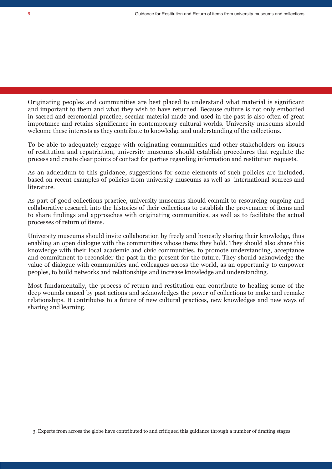Originating peoples and communities are best placed to understand what material is significant and important to them and what they wish to have returned. Because culture is not only embodied in sacred and ceremonial practice, secular material made and used in the past is also often of great importance and retains significance in contemporary cultural worlds. University museums should welcome these interests as they contribute to knowledge and understanding of the collections.

To be able to adequately engage with originating communities and other stakeholders on issues of restitution and repatriation, university museums should establish procedures that regulate the process and create clear points of contact for parties regarding information and restitution requests.

As an addendum to this guidance, suggestions for some elements of such policies are included, based on recent examples of policies from university museums as well as international sources and literature.

As part of good collections practice, university museums should commit to resourcing ongoing and collaborative research into the histories of their collections to establish the provenance of items and to share findings and approaches with originating communities, as well as to facilitate the actual processes of return of items.

University museums should invite collaboration by freely and honestly sharing their knowledge, thus enabling an open dialogue with the communities whose items they hold. They should also share this knowledge with their local academic and civic communities, to promote understanding, acceptance and commitment to reconsider the past in the present for the future. They should acknowledge the value of dialogue with communities and colleagues across the world, as an opportunity to empower peoples, to build networks and relationships and increase knowledge and understanding.

Most fundamentally, the process of return and restitution can contribute to healing some of the deep wounds caused by past actions and acknowledges the power of collections to make and remake relationships. It contributes to a future of new cultural practices, new knowledges and new ways of sharing and learning.

3. Experts from across the globe have contributed to and critiqued this guidance through a number of drafting stages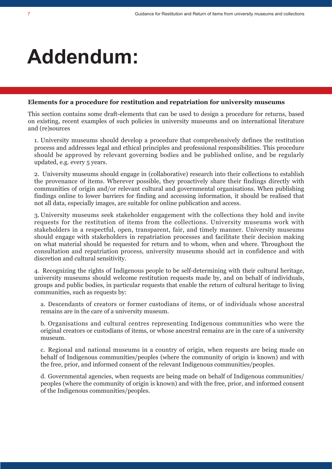## **Addendum:**

#### **Elements for a procedure for restitution and repatriation for university museums**

This section contains some draft-elements that can be used to design a procedure for returns, based on existing, recent examples of such policies in university museums and on international literature and (re)sources

1. University museums should develop a procedure that comprehensively defines the restitution process and addresses legal and ethical principles and professional responsibilities. This procedure should be approved by relevant governing bodies and be published online, and be regularly updated, e.g. every 5 years.

2. University museums should engage in (collaborative) research into their collections to establish the provenance of items. Wherever possible, they proactively share their findings directly with communities of origin and/or relevant cultural and governmental organisations. When publishing findings online to lower barriers for finding and accessing information, it should be realised that not all data, especially images, are suitable for online publication and access.

3. University museums seek stakeholder engagement with the collections they hold and invite requests for the restitution of items from the collections. University museums work with stakeholders in a respectful, open, transparent, fair, and timely manner. University museums should engage with stakeholders in repatriation processes and facilitate their decision making on what material should be requested for return and to whom, when and where. Throughout the consultation and repatriation process, university museums should act in confidence and with discretion and cultural sensitivity.

4. Recognizing the rights of Indigenous people to be self-determining with their cultural heritage, university museums should welcome restitution requests made by, and on behalf of individuals, groups and public bodies, in particular requests that enable the return of cultural heritage to living communities, such as requests by:

a. Descendants of creators or former custodians of items, or of individuals whose ancestral remains are in the care of a university museum.

b. Organisations and cultural centres representing Indigenous communities who were the original creators or custodians of items, or whose ancestral remains are in the care of a university museum.

c. Regional and national museums in a country of origin, when requests are being made on behalf of Indigenous communities/peoples (where the community of origin is known) and with the free, prior, and informed consent of the relevant Indigenous communities/peoples.

d. Governmental agencies, when requests are being made on behalf of Indigenous communities/ peoples (where the community of origin is known) and with the free, prior, and informed consent of the Indigenous communities/peoples.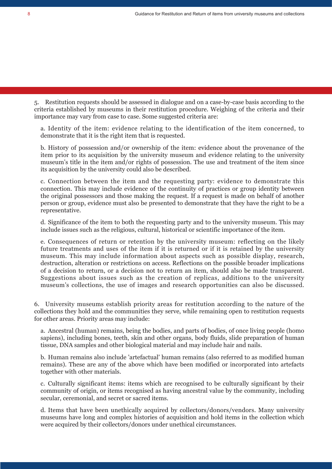5. Restitution requests should be assessed in dialogue and on a case-by-case basis according to the criteria established by museums in their restitution procedure. Weighing of the criteria and their importance may vary from case to case. Some suggested criteria are:

a. Identity of the item: evidence relating to the identification of the item concerned, to demonstrate that it is the right item that is requested.

b. History of possession and/or ownership of the item: evidence about the provenance of the item prior to its acquisition by the university museum and evidence relating to the university museum's title in the item and/or rights of possession. The use and treatment of the item since its acquisition by the university could also be described.

c. Connection between the item and the requesting party: evidence to demonstrate this connection. This may include evidence of the continuity of practices or group identity between the original possessors and those making the request. If a request is made on behalf of another person or group, evidence must also be presented to demonstrate that they have the right to be a representative.

d. Significance of the item to both the requesting party and to the university museum. This may include issues such as the religious, cultural, historical or scientific importance of the item.

e. Consequences of return or retention by the university museum: reflecting on the likely future treatments and uses of the item if it is returned or if it is retained by the university museum. This may include information about aspects such as possible display, research, destruction, alteration or restrictions on access. Reflections on the possible broader implications of a decision to return, or a decision not to return an item, should also be made transparent. Suggestions about issues such as the creation of replicas, additions to the university museum's collections, the use of images and research opportunities can also be discussed.

6. University museums establish priority areas for restitution according to the nature of the collections they hold and the communities they serve, while remaining open to restitution requests for other areas. Priority areas may include:

a. Ancestral (human) remains, being the bodies, and parts of bodies, of once living people (homo sapiens), including bones, teeth, skin and other organs, body fluids, slide preparation of human tissue, DNA samples and other biological material and may include hair and nails.

b. Human remains also include 'artefactual' human remains (also referred to as modified human remains). These are any of the above which have been modified or incorporated into artefacts together with other materials.

c. Culturally significant items: items which are recognised to be culturally significant by their community of origin, or items recognised as having ancestral value by the community, including secular, ceremonial, and secret or sacred items.

d. Items that have been unethically acquired by collectors/donors/vendors. Many university museums have long and complex histories of acquisition and hold items in the collection which were acquired by their collectors/donors under unethical circumstances.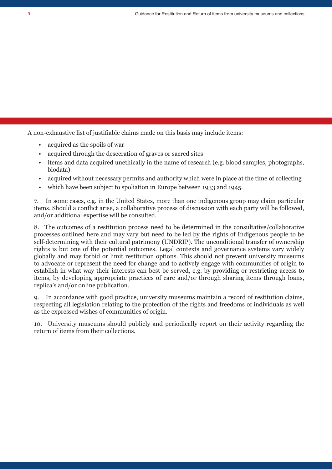A non-exhaustive list of justifiable claims made on this basis may include items:

- acquired as the spoils of war
- acquired through the desecration of graves or sacred sites
- items and data acquired unethically in the name of research (e.g. blood samples, photographs, biodata)
- acquired without necessary permits and authority which were in place at the time of collecting
- which have been subject to spoliation in Europe between 1933 and 1945.

7. In some cases, e.g. in the United States, more than one indigenous group may claim particular items. Should a conflict arise, a collaborative process of discussion with each party will be followed, and/or additional expertise will be consulted.

8. The outcomes of a restitution process need to be determined in the consultative/collaborative processes outlined here and may vary but need to be led by the rights of Indigenous people to be self-determining with their cultural patrimony (UNDRIP). The unconditional transfer of ownership rights is but one of the potential outcomes. Legal contexts and governance systems vary widely globally and may forbid or limit restitution options. This should not prevent university museums to advocate or represent the need for change and to actively engage with communities of origin to establish in what way their interests can best be served, e.g. by providing or restricting access to items, by developing appropriate practices of care and/or through sharing items through loans, replica's and/or online publication.

9. In accordance with good practice, university museums maintain a record of restitution claims, respecting all legislation relating to the protection of the rights and freedoms of individuals as well as the expressed wishes of communities of origin.

10. University museums should publicly and periodically report on their activity regarding the return of items from their collections.